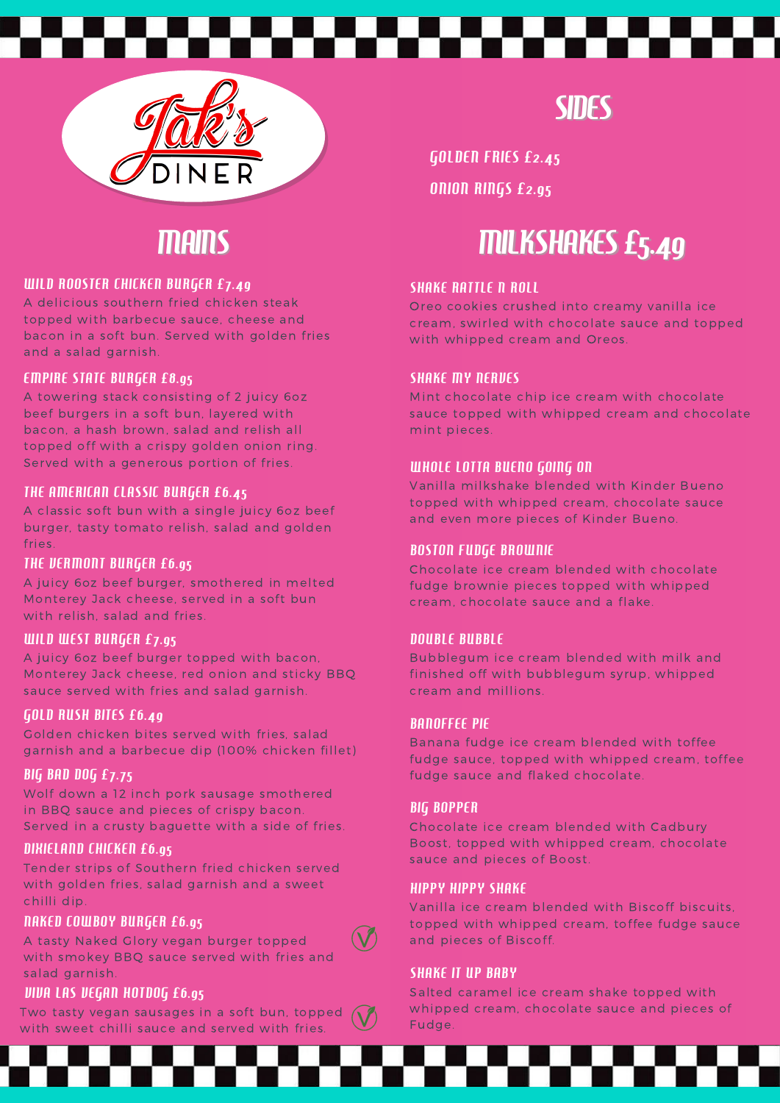



# *MAINS*

#### WILD ROOSTER CHICKEN BURGER £7.49

A delicious southern fried chicken steak topped with barbecue sauce, cheese and bacon in a soft bun. Served with golden fries and a salad garnish.

#### EMPIRE STATE BURGER £8.95

A towering stack consisting of 2 juicy 6oz beef burgers in a soft bun, layered with bacon, a hash brown, salad and relish all topped off with a crispy golden onion ring. Served with a generous portion of fries.

#### THE AMERICAN CLASSIC BURGER £6.45

A classic soft bun with a single juicy 6oz beef burger, tasty tomato relish, salad and golden fries.

#### THE VERMONT BURGER £6.95

A juicy 6oz beef burger, smothered in melted Monterey Jack cheese, served in a soft bun with relish, salad and fries.

#### WILD WEST BURGER £7.95

A juicy 6oz beef burger topped with bacon, Monterey Jack cheese, red onion and sticky BBQ sauce served with fries and salad garnish.

#### GOLD RUSH BITES £6.49

Golden chicken bites served with fries, salad garnish and a barbecue dip (100% chicken fillet)

#### BIG BAD DOG £7.75

Wolf down a 12 inch pork sausage smothered in BBQ sauce and pieces of crispy bacon. Served in a crusty baguette with a side of fries.

#### DIXIELAND CHICKEN £6.95

Tender strips of Southern fried chicken served with golden fries, salad garnish and a sweet chilli dip.

#### NAKED COWBOY BURGER £6.95

A tasty Naked Glory vegan burger topped with smokey BBQ sauce served with fries and salad garnish.

#### VIVA LAS VEGAN HOTDOG £6.95

Two tasty vegan sausages in a soft bun, topped with sweet chilli sauce and served with fries.

**SIDES** 

GOLDEN FRIES £2.45 ONION RINGS £2.95

# **MILKSHAKES £5.49**

#### **SHAKE RATTLE N ROLL**

Oreo cookies crushed into creamy vanilla ice cream, swirled with chocolate sauce and topped with whipped cream and Oreos.

#### **SHAKE MY NERVES**

Mint chocolate chip ice cream with chocolate sauce topped with whipped cream and chocolate mint pieces.

#### WHOLE LOTTA BUENO GOING ON

Vanilla milkshake blended with Kinder Bueno topped with whipped cream, chocolate sauce and even more pieces of Kinder Bueno.

#### BOSTON FUDGE BROWNIE

Chocolate ice cream blended with chocolate fudge brownie pieces topped with whipped cream, chocolate sauce and a flake.

#### DOUBLE BUBBLE

Bubblegum ice cream blended with milk and finished off with bubblegum syrup, whipped cream and millions.

#### BANOFFEE PIE

Banana fudge ice cream blended with toffee fudge sauce, topped with whipped cream, toffee fudge sauce and flaked chocolate.

#### BIG BOPPER

Chocolate ice cream blended with Cadbury Boost, topped with whipped cream, chocolate sauce and pieces of Boost.

#### HIPPY HIPPY SHAKE

Vanilla ice cream blended with Biscoff biscuits, topped with whipped cream, toffee fudge sauce and pieces of Biscoff.

#### **SHAKE IT UP BABY**

Salted caramel ice cream shake topped with whipped cream, chocolate sauce and pieces of Fudge.